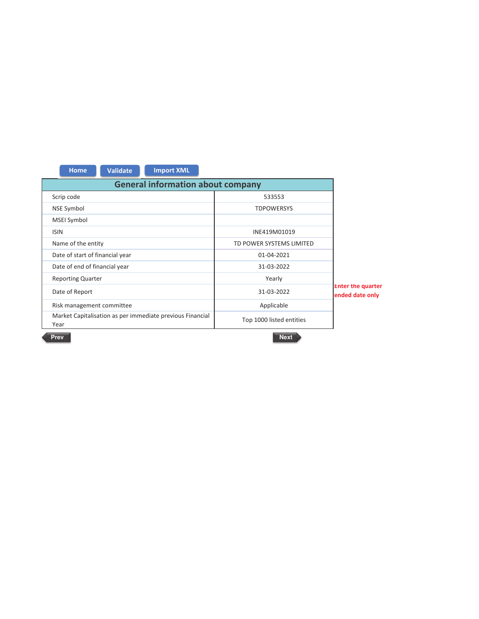| <b>General information about company</b><br>Scrip code<br>533553<br><b>NSE Symbol</b><br><b>TDPOWERSYS</b><br><b>MSEI Symbol</b><br><b>ISIN</b><br>INE419M01019<br>Name of the entity<br>TD POWER SYSTEMS LIMITED<br>Date of start of financial year<br>01-04-2021<br>Date of end of financial year<br>31-03-2022<br><b>Reporting Quarter</b><br>Yearly<br><b>Enter the quarter</b><br>Date of Report<br>31-03-2022<br>ended date only<br>Applicable<br>Risk management committee | <b>Import XML</b><br><b>Validate</b><br><b>Home</b> |  |  |
|-----------------------------------------------------------------------------------------------------------------------------------------------------------------------------------------------------------------------------------------------------------------------------------------------------------------------------------------------------------------------------------------------------------------------------------------------------------------------------------|-----------------------------------------------------|--|--|
|                                                                                                                                                                                                                                                                                                                                                                                                                                                                                   |                                                     |  |  |
|                                                                                                                                                                                                                                                                                                                                                                                                                                                                                   |                                                     |  |  |
|                                                                                                                                                                                                                                                                                                                                                                                                                                                                                   |                                                     |  |  |
|                                                                                                                                                                                                                                                                                                                                                                                                                                                                                   |                                                     |  |  |
|                                                                                                                                                                                                                                                                                                                                                                                                                                                                                   |                                                     |  |  |
|                                                                                                                                                                                                                                                                                                                                                                                                                                                                                   |                                                     |  |  |
|                                                                                                                                                                                                                                                                                                                                                                                                                                                                                   |                                                     |  |  |
|                                                                                                                                                                                                                                                                                                                                                                                                                                                                                   |                                                     |  |  |
|                                                                                                                                                                                                                                                                                                                                                                                                                                                                                   |                                                     |  |  |
|                                                                                                                                                                                                                                                                                                                                                                                                                                                                                   |                                                     |  |  |
|                                                                                                                                                                                                                                                                                                                                                                                                                                                                                   |                                                     |  |  |
| Market Capitalisation as per immediate previous Financial<br>Top 1000 listed entities<br>Year                                                                                                                                                                                                                                                                                                                                                                                     |                                                     |  |  |

Prev

Next >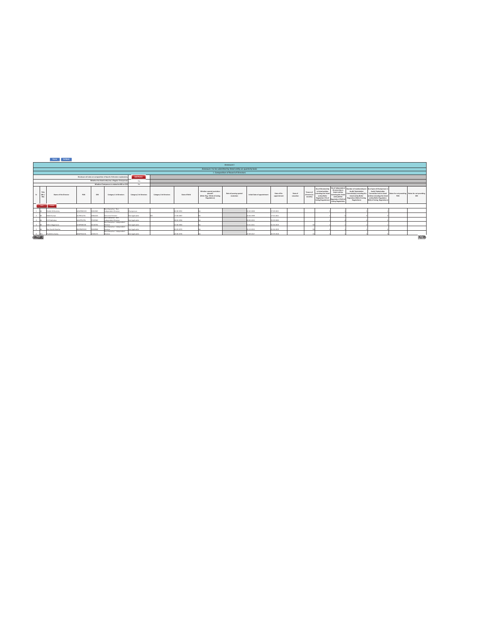|                |                                                    | Nome Validate            |                   |               |                                                                      |                         |                         |               |                                                                                       |                                                                |                             |                            |                      |                                      |                                                                                                                                              |                                                                                                                                                         |                                                                                                                                                                                  |                                                                                                                                                |     |                                                                                                                                                                                                                                                                                                                                                                 |
|----------------|----------------------------------------------------|--------------------------|-------------------|---------------|----------------------------------------------------------------------|-------------------------|-------------------------|---------------|---------------------------------------------------------------------------------------|----------------------------------------------------------------|-----------------------------|----------------------------|----------------------|--------------------------------------|----------------------------------------------------------------------------------------------------------------------------------------------|---------------------------------------------------------------------------------------------------------------------------------------------------------|----------------------------------------------------------------------------------------------------------------------------------------------------------------------------------|------------------------------------------------------------------------------------------------------------------------------------------------|-----|-----------------------------------------------------------------------------------------------------------------------------------------------------------------------------------------------------------------------------------------------------------------------------------------------------------------------------------------------------------------|
|                |                                                    |                          |                   |               |                                                                      |                         |                         |               |                                                                                       | Annexure I                                                     |                             |                            |                      |                                      |                                                                                                                                              |                                                                                                                                                         |                                                                                                                                                                                  |                                                                                                                                                |     |                                                                                                                                                                                                                                                                                                                                                                 |
|                |                                                    |                          |                   |               |                                                                      |                         |                         |               |                                                                                       | Annexure I to be submitted by listed entity on quarterly basis |                             |                            |                      |                                      |                                                                                                                                              |                                                                                                                                                         |                                                                                                                                                                                  |                                                                                                                                                |     |                                                                                                                                                                                                                                                                                                                                                                 |
|                |                                                    |                          |                   |               |                                                                      |                         |                         |               |                                                                                       | I. Composition of Board of Directors                           |                             |                            |                      |                                      |                                                                                                                                              |                                                                                                                                                         |                                                                                                                                                                                  |                                                                                                                                                |     |                                                                                                                                                                                                                                                                                                                                                                 |
|                |                                                    |                          |                   |               | Disclosure of notes on composition of board of directors explanatory | <b>Add Notes</b>        |                         |               |                                                                                       |                                                                |                             |                            |                      |                                      |                                                                                                                                              |                                                                                                                                                         |                                                                                                                                                                                  |                                                                                                                                                |     |                                                                                                                                                                                                                                                                                                                                                                 |
|                |                                                    |                          |                   |               | Whether the listed entity has a Regular Chairperson                  | Yes                     |                         |               |                                                                                       |                                                                |                             |                            |                      |                                      |                                                                                                                                              |                                                                                                                                                         |                                                                                                                                                                                  |                                                                                                                                                |     |                                                                                                                                                                                                                                                                                                                                                                 |
|                | Whether Chairperson is related to MD or CEO<br>No. |                          |                   |               |                                                                      |                         |                         |               |                                                                                       |                                                                |                             |                            |                      |                                      |                                                                                                                                              |                                                                                                                                                         |                                                                                                                                                                                  |                                                                                                                                                |     |                                                                                                                                                                                                                                                                                                                                                                 |
| $\sim$         | Title<br>$0$ Mc $/$<br>Msi                         | Name of the Director     | PAN               | <b>DIN</b>    | Category 1 of directors                                              | Category 2 of directors | Category 3 of directors | Date of Birth | Whether special resolution<br>passed?<br>[Refer Reg. 17(1A) of Unting<br>Regulations) | Date of passing special<br>resolution                          | Initial Date of appointment | Date of Re-<br>appointment | Date of<br>cessation | Tenure of<br>director (in<br>months) | No of Directorship<br>in listed entities<br><b>Including this listed</b><br>entity (Refer<br>Regulation 17A of<br><b>Listing Regulations</b> | No of Independent<br>Directorship in<br>listed entities<br>including this listed<br>entity (Refer<br>Regulation 17A(1) of<br><b>Listing Regulations</b> | Number of memberships in No of post of Chairpenson is<br>Audit/Stakeholder<br>Committee(s) including this<br>listed entity (Refer<br>Regulation 26(1) of Listing<br>Regulations) | Audit/ Stakeholder<br>Committee held in listed<br>entities including this listed<br>entity (Refer Regulation)<br>26(1) of Listing Regulations) | PAN | Notes for not providing Notes for not providing<br><b>DIN</b>                                                                                                                                                                                                                                                                                                   |
|                | Add                                                | Delete                   |                   |               |                                                                      |                         |                         |               |                                                                                       |                                                                |                             |                            |                      |                                      |                                                                                                                                              |                                                                                                                                                         |                                                                                                                                                                                  |                                                                                                                                                |     |                                                                                                                                                                                                                                                                                                                                                                 |
|                |                                                    | Mohib N Khericha         | AGMPK8152H        | <b>ZACODO</b> | Non-Executive - Non<br>Independent Director                          | Chairperson             |                         | 04-08-1952    |                                                                                       |                                                                | 22-02-2000                  | 27-09-2021                 |                      |                                      |                                                                                                                                              |                                                                                                                                                         |                                                                                                                                                                                  |                                                                                                                                                |     |                                                                                                                                                                                                                                                                                                                                                                 |
| $\overline{a}$ |                                                    | <b>NIANE Kumar</b>       | ACIPID3127G       | 00062243      | Executive Director                                                   | Not Applicable          |                         | 17-08-1967    |                                                                                       |                                                                | 24-04-1999                  | 17-01-2021                 |                      |                                      |                                                                                                                                              |                                                                                                                                                         |                                                                                                                                                                                  |                                                                                                                                                |     |                                                                                                                                                                                                                                                                                                                                                                 |
| 3 55 **        |                                                    | C G Drahabar             | AALIPPS279L       | 07187463      | Mon-Everythen - New<br>Indanandaré Dinastre                          | Not Applicable          |                         | 28-06-1956    |                                                                                       |                                                                | 20-05-2015                  | 25-09-2020                 |                      |                                      |                                                                                                                                              |                                                                                                                                                         |                                                                                                                                                                                  |                                                                                                                                                |     |                                                                                                                                                                                                                                                                                                                                                                 |
| $\sim$ 1       |                                                    | Nithin Baramane          | AHOFEGE729        | 00136704      | Non-Dorcutive - Independent<br><b>Director</b>                       | Not Applicable          |                         | 22-08-1963    |                                                                                       |                                                                | 13-01-2011                  | 01-04-2019                 |                      |                                      |                                                                                                                                              |                                                                                                                                                         |                                                                                                                                                                                  |                                                                                                                                                |     |                                                                                                                                                                                                                                                                                                                                                                 |
| 5 Mr           |                                                    | <b>Rayi Kanth Mantha</b> | <b>BSUPMBSS1R</b> | 12000305      | Non-Doncutive - Independent<br>Director                              | Not Applicable          |                         | 03-09-1972    |                                                                                       |                                                                | 02-12-2013                  | 01-04-2019                 |                      |                                      |                                                                                                                                              |                                                                                                                                                         |                                                                                                                                                                                  |                                                                                                                                                |     |                                                                                                                                                                                                                                                                                                                                                                 |
| 6 Mm           |                                                    | Prathibite Sastry        | BAMPS6419L        | 00505172      | Non-Executive - Independent<br>Director                              | Not Applicable          |                         | 20-08-1976    | MA.                                                                                   |                                                                | 27-09-2017                  | 26-09-2018                 |                      |                                      |                                                                                                                                              |                                                                                                                                                         |                                                                                                                                                                                  |                                                                                                                                                |     |                                                                                                                                                                                                                                                                                                                                                                 |
| Pay 1          |                                                    |                          |                   |               |                                                                      |                         |                         |               |                                                                                       |                                                                |                             |                            |                      |                                      |                                                                                                                                              |                                                                                                                                                         |                                                                                                                                                                                  |                                                                                                                                                |     | $\frac{1}{2} \sum_{i=1}^{n} \frac{1}{2} \sum_{j=1}^{n} \frac{1}{2} \sum_{j=1}^{n} \frac{1}{2} \sum_{j=1}^{n} \frac{1}{2} \sum_{j=1}^{n} \frac{1}{2} \sum_{j=1}^{n} \frac{1}{2} \sum_{j=1}^{n} \frac{1}{2} \sum_{j=1}^{n} \frac{1}{2} \sum_{j=1}^{n} \frac{1}{2} \sum_{j=1}^{n} \frac{1}{2} \sum_{j=1}^{n} \frac{1}{2} \sum_{j=1}^{n} \frac{1}{2} \sum_{j=1}^{n$ |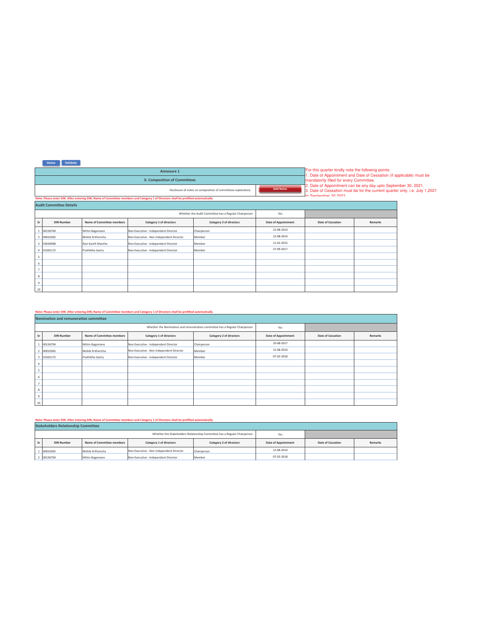| Annexure 1                                                                                                                         |  |
|------------------------------------------------------------------------------------------------------------------------------------|--|
| <b>II. Composition of Committees</b>                                                                                               |  |
| <b>Add Notes</b><br>Disclosure of notes on composition of committees explanatory                                                   |  |
| Note: Please enter DIN. After entering DIN, Name of Committee members and Category 1 of Directors shall be prefilled automatically |  |

For this quarter kindly note the following points:<br>1. Date of Appointment and Date of Cessation (if applicable) must be<br>mandatorily filled for every Committee.<br>2. Date of Appointment can be any day upto September 30, 2021.

|                         | <b>Audit Committee Details</b> |                           |                                          |                                                       |                            |                   |         |  |  |  |  |  |
|-------------------------|--------------------------------|---------------------------|------------------------------------------|-------------------------------------------------------|----------------------------|-------------------|---------|--|--|--|--|--|
|                         |                                |                           |                                          | Whether the Audit Committee has a Regular Chairperson | Yes                        |                   |         |  |  |  |  |  |
| Sr                      | <b>DIN Number</b>              | Name of Committee members | Category 1 of directors                  | Category 2 of directors                               | <b>Date of Appointment</b> | Date of Cessation | Remarks |  |  |  |  |  |
|                         | 00136704                       | Nithin Bagamane           | Non-Executive - Independent Director     | Chairperson                                           | 12-08-2014                 |                   |         |  |  |  |  |  |
| $\overline{2}$          | 00010365                       | Mohib N Khericha          | Non-Executive - Non Independent Director | Member                                                | 12-08-2014                 |                   |         |  |  |  |  |  |
| $\overline{\mathbf{3}}$ | 03630968                       | Ravi Kanth Mantha         | Non-Executive - Independent Director     | Member                                                | 11-02-2015                 |                   |         |  |  |  |  |  |
| $\overline{a}$          | 01505172                       | Prathibha Sastry          | Non-Executive - Independent Director     | Member                                                | 27-09-2017                 |                   |         |  |  |  |  |  |
| 5                       |                                |                           |                                          |                                                       |                            |                   |         |  |  |  |  |  |
| 6                       |                                |                           |                                          |                                                       |                            |                   |         |  |  |  |  |  |
| ٠                       |                                |                           |                                          |                                                       |                            |                   |         |  |  |  |  |  |
| 8                       |                                |                           |                                          |                                                       |                            |                   |         |  |  |  |  |  |
| 9                       |                                |                           |                                          |                                                       |                            |                   |         |  |  |  |  |  |
| 10                      |                                |                           |                                          |                                                       |                            |                   |         |  |  |  |  |  |

|                                                                                    | Note: Please enter DIN. After entering DIN, Name of Committee members and Category 1 of Directors shall be prefilled automatically |                           |                                          |                         |                            |                          |         |  |  |  |  |  |
|------------------------------------------------------------------------------------|------------------------------------------------------------------------------------------------------------------------------------|---------------------------|------------------------------------------|-------------------------|----------------------------|--------------------------|---------|--|--|--|--|--|
|                                                                                    | Nomination and remuneration committee                                                                                              |                           |                                          |                         |                            |                          |         |  |  |  |  |  |
| Whether the Nomination and remuneration committee has a Regular Chairperson<br>Yes |                                                                                                                                    |                           |                                          |                         |                            |                          |         |  |  |  |  |  |
| Sr                                                                                 | <b>DIN Number</b>                                                                                                                  | Name of Committee members | Category 1 of directors                  | Category 2 of directors | <b>Date of Appointment</b> | <b>Date of Cessation</b> | Remarks |  |  |  |  |  |
|                                                                                    | 00136704                                                                                                                           | Nithin Bagamane           | Non-Executive - Independent Director     | Chairperson             | 10-08-2017                 |                          |         |  |  |  |  |  |
|                                                                                    | 2 00010365                                                                                                                         | Mohib N Khericha          | Non-Executive - Non Independent Director | Member                  | 12-08-2014                 |                          |         |  |  |  |  |  |
|                                                                                    | 3 01505172                                                                                                                         | Prathibha Sastry          | Non-Executive - Independent Director     | Member                  | 07-02-2018                 |                          |         |  |  |  |  |  |
| 4                                                                                  |                                                                                                                                    |                           |                                          |                         |                            |                          |         |  |  |  |  |  |
| 5                                                                                  |                                                                                                                                    |                           |                                          |                         |                            |                          |         |  |  |  |  |  |
| 6                                                                                  |                                                                                                                                    |                           |                                          |                         |                            |                          |         |  |  |  |  |  |
|                                                                                    |                                                                                                                                    |                           |                                          |                         |                            |                          |         |  |  |  |  |  |
| 8                                                                                  |                                                                                                                                    |                           |                                          |                         |                            |                          |         |  |  |  |  |  |
| 9                                                                                  |                                                                                                                                    |                           |                                          |                         |                            |                          |         |  |  |  |  |  |
| 10                                                                                 |                                                                                                                                    |                           |                                          |                         |                            |                          |         |  |  |  |  |  |

Note: Please enter DIN. After entering DIN, Name of Committee members and Category 1 of Directors shall be prefilled automatically

|    | <b>Stakeholders Relationship Committee</b> |                           |                                          |                                                                           |                            |                          |         |  |  |  |  |  |  |
|----|--------------------------------------------|---------------------------|------------------------------------------|---------------------------------------------------------------------------|----------------------------|--------------------------|---------|--|--|--|--|--|--|
|    |                                            |                           |                                          | Whether the Stakeholders Relationship Committee has a Regular Chairperson | Yes                        |                          |         |  |  |  |  |  |  |
| Sr | <b>DIN Number</b>                          | Name of Committee members | Category 1 of directors                  | Category 2 of directors                                                   | <b>Date of Appointment</b> | <b>Date of Cessation</b> | Remarks |  |  |  |  |  |  |
|    | 00010365                                   | Mohib N Khericha          | Non-Executive - Non Independent Director | Chairperson                                                               | 12-08-2014                 |                          |         |  |  |  |  |  |  |
|    | 00136704                                   | Nithin Bagamane           | Non-Executive - Independent Director     | Member                                                                    | 07-02-2018                 |                          |         |  |  |  |  |  |  |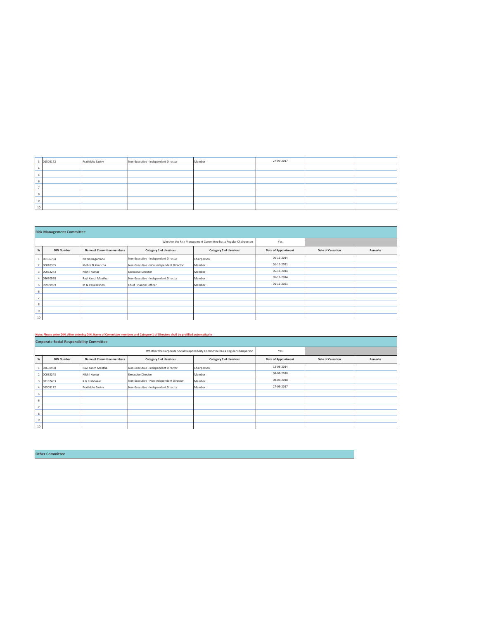|               | 01505172 | Prathibha Sastry | Non-Executive - Independent Director | Member | 27-09-2017 |  |
|---------------|----------|------------------|--------------------------------------|--------|------------|--|
|               |          |                  |                                      |        |            |  |
|               |          |                  |                                      |        |            |  |
|               |          |                  |                                      |        |            |  |
|               |          |                  |                                      |        |            |  |
| $\Omega$<br>× |          |                  |                                      |        |            |  |
| $\sim$        |          |                  |                                      |        |            |  |
| $10$          |          |                  |                                      |        |            |  |

|                         | <b>Risk Management Committee</b> |                           |                                                                 |                         |                            |                          |         |  |  |  |  |  |
|-------------------------|----------------------------------|---------------------------|-----------------------------------------------------------------|-------------------------|----------------------------|--------------------------|---------|--|--|--|--|--|
|                         |                                  |                           | Whether the Risk Management Committee has a Regular Chairperson | Yes                     |                            |                          |         |  |  |  |  |  |
| Sr                      | <b>DIN Number</b>                | Name of Committee members | Category 1 of directors                                         | Category 2 of directors | <b>Date of Appointment</b> | <b>Date of Cessation</b> | Remarks |  |  |  |  |  |
|                         | 00136704                         | Nithin Bagamane           | Non-Executive - Independent Director                            | Chairperson             | 05-11-2014                 |                          |         |  |  |  |  |  |
|                         | 00010365                         | Mohib N Khericha          | Non-Executive - Non Independent Director                        | Member                  | $01 - 11 - 2021$           |                          |         |  |  |  |  |  |
| $\overline{\mathbf{3}}$ | 00062243                         | Nikhil Kumar              | <b>Executive Director</b>                                       | Member                  | 05-11-2014                 |                          |         |  |  |  |  |  |
|                         | 03630968                         | Ravi Kanth Mantha         | Non-Executive - Independent Director                            | Member                  | 05-11-2014                 |                          |         |  |  |  |  |  |
|                         | 99999999                         | M N Varalakshmi           | Chief Financial Officer                                         | Member                  | 01-11-2021                 |                          |         |  |  |  |  |  |
| 6                       |                                  |                           |                                                                 |                         |                            |                          |         |  |  |  |  |  |
| $\overline{ }$          |                                  |                           |                                                                 |                         |                            |                          |         |  |  |  |  |  |
| 8                       |                                  |                           |                                                                 |                         |                            |                          |         |  |  |  |  |  |
| $\,9$                   |                                  |                           |                                                                 |                         |                            |                          |         |  |  |  |  |  |
| 10                      |                                  |                           |                                                                 |                         |                            |                          |         |  |  |  |  |  |

## Note: Please enter DIN. After entering DIN, Name of Committee members and Category 1 of Directors shall be prefilled automatically

|              | <b>Corporate Social Responsibility Committee</b> |                           |                                                                                 |                         |                            |                   |         |  |  |  |  |  |
|--------------|--------------------------------------------------|---------------------------|---------------------------------------------------------------------------------|-------------------------|----------------------------|-------------------|---------|--|--|--|--|--|
|              |                                                  |                           | Whether the Corporate Social Responsibility Committee has a Regular Chairperson | Yes                     |                            |                   |         |  |  |  |  |  |
| Sr           | <b>DIN Number</b>                                | Name of Committee members | Category 1 of directors                                                         | Category 2 of directors | <b>Date of Appointment</b> | Date of Cessation | Remarks |  |  |  |  |  |
|              | 03630968                                         | Ravi Kanth Mantha         | Non-Executive - Independent Director                                            | Chairperson             | 12-08-2014                 |                   |         |  |  |  |  |  |
|              | 00062243                                         | Nikhil Kumar              | <b>Executive Director</b>                                                       | Member                  | 08-08-2018                 |                   |         |  |  |  |  |  |
| 3            | 07187463                                         | K G Prabhakar             | Non-Executive - Non Independent Director                                        | Member                  | 08-08-2018                 |                   |         |  |  |  |  |  |
|              | 01505172                                         | Prathibha Sastry          | Non-Executive - Independent Director                                            | Member                  | 27-09-2017                 |                   |         |  |  |  |  |  |
| 5            |                                                  |                           |                                                                                 |                         |                            |                   |         |  |  |  |  |  |
| 6            |                                                  |                           |                                                                                 |                         |                            |                   |         |  |  |  |  |  |
| $\mathbf{r}$ |                                                  |                           |                                                                                 |                         |                            |                   |         |  |  |  |  |  |
| 8            |                                                  |                           |                                                                                 |                         |                            |                   |         |  |  |  |  |  |
| 9            |                                                  |                           |                                                                                 |                         |                            |                   |         |  |  |  |  |  |
| 10           |                                                  |                           |                                                                                 |                         |                            |                   |         |  |  |  |  |  |

Other Committee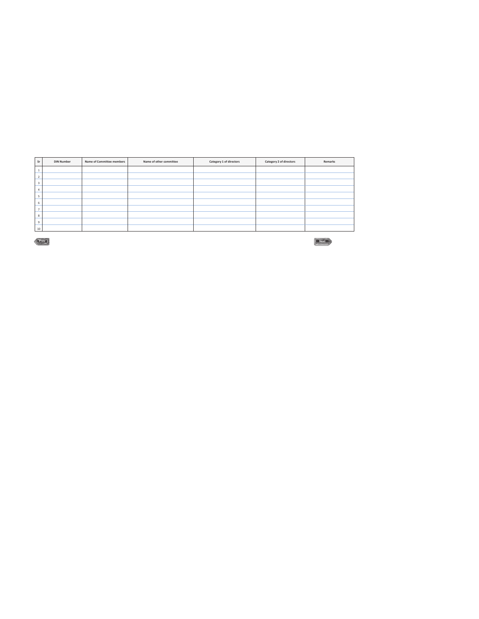| Sr                      | <b>DIN Number</b> | Name of Committee members | Name of other committee | Category 1 of directors | Category 2 of directors | Remarks                       |
|-------------------------|-------------------|---------------------------|-------------------------|-------------------------|-------------------------|-------------------------------|
|                         |                   |                           |                         |                         |                         |                               |
| ٠<br>ı                  |                   |                           |                         |                         |                         |                               |
| $\overline{\mathbf{3}}$ |                   |                           |                         |                         |                         |                               |
|                         |                   |                           |                         |                         |                         |                               |
| ٠                       |                   |                           |                         |                         |                         |                               |
| 6                       |                   |                           |                         |                         |                         |                               |
|                         |                   |                           |                         |                         |                         |                               |
| 8                       |                   |                           |                         |                         |                         |                               |
| 9                       |                   |                           |                         |                         |                         |                               |
| 10                      |                   |                           |                         |                         |                         |                               |
|                         | Prev              |                           |                         |                         |                         | le)<br><b><i>Comments</i></b> |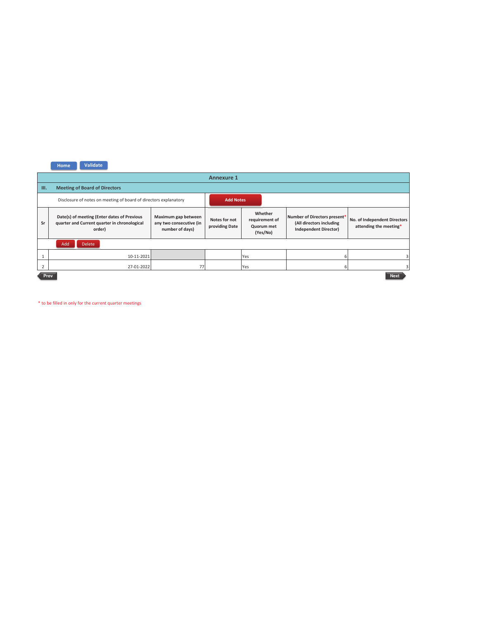|      | Validate<br>Home                                                                                      |                                                                   |                                 |                                                     |                                                                                          |                                                        |  |  |  |  |  |
|------|-------------------------------------------------------------------------------------------------------|-------------------------------------------------------------------|---------------------------------|-----------------------------------------------------|------------------------------------------------------------------------------------------|--------------------------------------------------------|--|--|--|--|--|
|      |                                                                                                       |                                                                   | <b>Annexure 1</b>               |                                                     |                                                                                          |                                                        |  |  |  |  |  |
| III. | <b>Meeting of Board of Directors</b>                                                                  |                                                                   |                                 |                                                     |                                                                                          |                                                        |  |  |  |  |  |
|      | Disclosure of notes on meeting of board of directors explanatory                                      |                                                                   | <b>Add Notes</b>                |                                                     |                                                                                          |                                                        |  |  |  |  |  |
| Sr   | Date(s) of meeting (Enter dates of Previous<br>quarter and Current quarter in chronological<br>order) | Maximum gap between<br>any two consecutive (in<br>number of days) | Notes for not<br>providing Date | Whether<br>requirement of<br>Quorum met<br>(Yes/No) | Number of Directors present*<br>(All directors including<br><b>Independent Director)</b> | No. of Independent Directors<br>attending the meeting* |  |  |  |  |  |
|      | Add<br><b>Delete</b>                                                                                  |                                                                   |                                 |                                                     |                                                                                          |                                                        |  |  |  |  |  |
|      | 10-11-2021                                                                                            |                                                                   |                                 | Yes                                                 | 6                                                                                        |                                                        |  |  |  |  |  |
| 2    | 27-01-2022                                                                                            | 77                                                                |                                 | Yes                                                 | 6                                                                                        |                                                        |  |  |  |  |  |
|      | <b>Next</b><br>Prev                                                                                   |                                                                   |                                 |                                                     |                                                                                          |                                                        |  |  |  |  |  |

\* to be filled in only for the current quarter meetings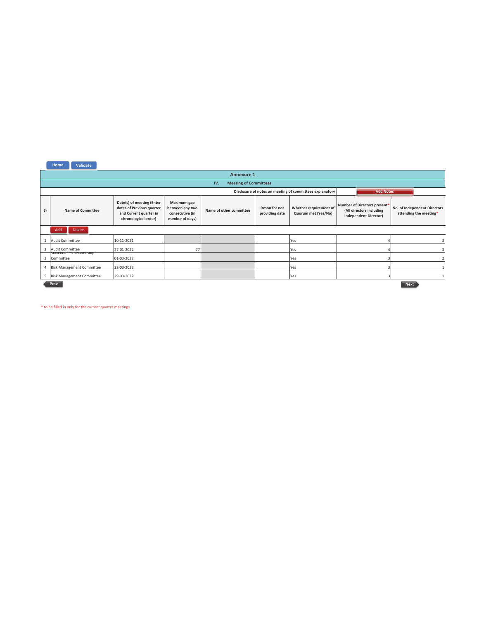|                | Validate<br>Home                                                             |                                                                                                          |                                                                      |                                     |                                 |                                               |                                                                                          |                                                        |  |  |  |
|----------------|------------------------------------------------------------------------------|----------------------------------------------------------------------------------------------------------|----------------------------------------------------------------------|-------------------------------------|---------------------------------|-----------------------------------------------|------------------------------------------------------------------------------------------|--------------------------------------------------------|--|--|--|
|                |                                                                              |                                                                                                          |                                                                      | <b>Annexure 1</b>                   |                                 |                                               |                                                                                          |                                                        |  |  |  |
|                |                                                                              |                                                                                                          |                                                                      | <b>Meeting of Committees</b><br>IV. |                                 |                                               |                                                                                          |                                                        |  |  |  |
|                | Disclosure of notes on meeting of committees explanatory<br><b>Add Notes</b> |                                                                                                          |                                                                      |                                     |                                 |                                               |                                                                                          |                                                        |  |  |  |
| Sr             | <b>Name of Committee</b>                                                     | Date(s) of meeting (Enter<br>dates of Previous quarter<br>and Current quarter in<br>chronological order) | Maximum gap<br>between any two<br>consecutive (in<br>number of days) | Name of other committee             | Reson for not<br>providing date | Whether requirement of<br>Quorum met (Yes/No) | Number of Directors present*<br>(All directors including<br><b>Independent Director)</b> | No. of Independent Directors<br>attending the meeting* |  |  |  |
|                | Delete<br>Add                                                                |                                                                                                          |                                                                      |                                     |                                 |                                               |                                                                                          |                                                        |  |  |  |
|                | Audit Committee                                                              | 10-11-2021                                                                                               |                                                                      |                                     |                                 | Yes                                           |                                                                                          |                                                        |  |  |  |
|                | Audit Committee                                                              | 27-01-2022                                                                                               | 77                                                                   |                                     |                                 | Yes                                           |                                                                                          |                                                        |  |  |  |
| Е              | Stakenoiders Relationship<br>Committee                                       | 01-03-2022                                                                                               |                                                                      |                                     |                                 | Yes                                           |                                                                                          |                                                        |  |  |  |
| $\overline{4}$ | Risk Management Committee                                                    | 22-03-2022                                                                                               |                                                                      |                                     |                                 | Yes                                           |                                                                                          |                                                        |  |  |  |
| 5              | Risk Management Committee                                                    | 29-03-2022                                                                                               |                                                                      |                                     |                                 | Yes                                           |                                                                                          |                                                        |  |  |  |
|                | Prev<br><b>Next</b>                                                          |                                                                                                          |                                                                      |                                     |                                 |                                               |                                                                                          |                                                        |  |  |  |

\* to be filled in only for the current quarter meetings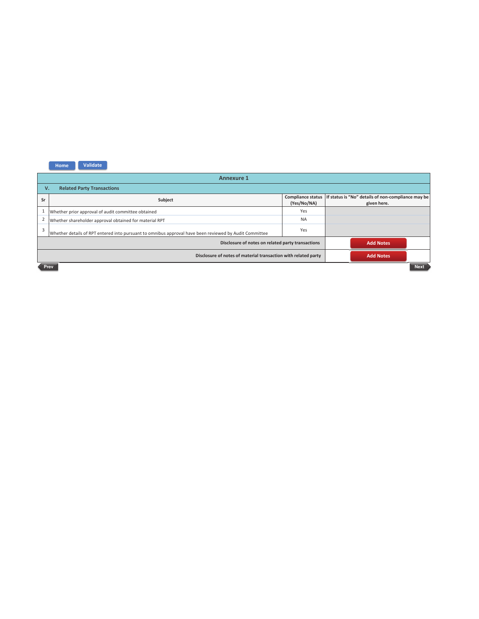| <b>Annexure 1</b> |                                                                                                        |             |                                                                                       |  |  |  |  |
|-------------------|--------------------------------------------------------------------------------------------------------|-------------|---------------------------------------------------------------------------------------|--|--|--|--|
|                   | V <sub>1</sub><br><b>Related Party Transactions</b>                                                    |             |                                                                                       |  |  |  |  |
| Sr                | Subject                                                                                                | (Yes/No/NA) | Compliance status   If status is "No" details of non-compliance may be<br>given here. |  |  |  |  |
|                   | Whether prior approval of audit committee obtained                                                     | Yes         |                                                                                       |  |  |  |  |
| 2                 | Whether shareholder approval obtained for material RPT                                                 | <b>NA</b>   |                                                                                       |  |  |  |  |
| 3                 | Whether details of RPT entered into pursuant to omnibus approval have been reviewed by Audit Committee | Yes         |                                                                                       |  |  |  |  |
|                   | Disclosure of notes on related party transactions<br><b>Add Notes</b>                                  |             |                                                                                       |  |  |  |  |
|                   | Disclosure of notes of material transaction with related party<br><b>Add Notes</b>                     |             |                                                                                       |  |  |  |  |
|                   | <b>Next</b><br>Prev                                                                                    |             |                                                                                       |  |  |  |  |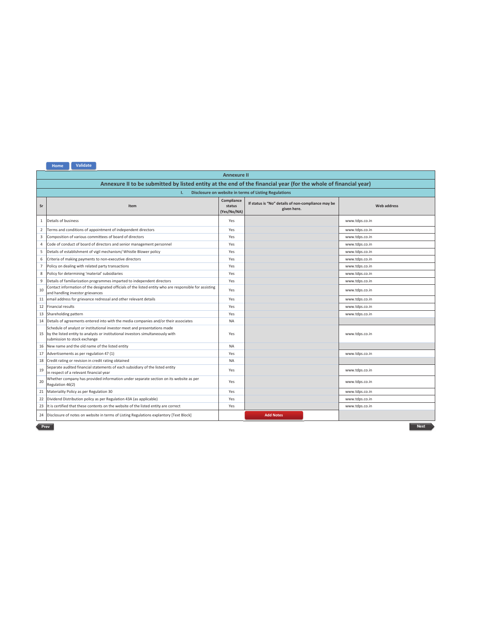| <b>Validate</b><br>Home <sup>®</sup> |  |
|--------------------------------------|--|
|                                      |  |

|                                                                                                                 | <b>Annexure II</b>                                                                                                                                                                              |                                     |                                                                   |                    |  |  |  |
|-----------------------------------------------------------------------------------------------------------------|-------------------------------------------------------------------------------------------------------------------------------------------------------------------------------------------------|-------------------------------------|-------------------------------------------------------------------|--------------------|--|--|--|
| Annexure II to be submitted by listed entity at the end of the financial year (for the whole of financial year) |                                                                                                                                                                                                 |                                     |                                                                   |                    |  |  |  |
|                                                                                                                 | Disclosure on website in terms of Listing Regulations<br>T.                                                                                                                                     |                                     |                                                                   |                    |  |  |  |
| Sr                                                                                                              | Item                                                                                                                                                                                            | Compliance<br>status<br>(Yes/No/NA) | If status is "No" details of non-compliance may be<br>given here. | <b>Web address</b> |  |  |  |
| 1                                                                                                               | Details of business                                                                                                                                                                             | Yes                                 |                                                                   | www.tdps.co.in     |  |  |  |
| 2                                                                                                               | Terms and conditions of appointment of independent directors                                                                                                                                    | Yes                                 |                                                                   | www.tdps.co.in     |  |  |  |
| 3                                                                                                               | Composition of various committees of board of directors                                                                                                                                         | Yes                                 |                                                                   | www.tdps.co.in     |  |  |  |
| 4                                                                                                               | Code of conduct of board of directors and senior management personnel                                                                                                                           | Yes                                 |                                                                   | www.tdps.co.in     |  |  |  |
| 5                                                                                                               | Details of establishment of vigil mechanism/ Whistle Blower policy                                                                                                                              | Yes                                 |                                                                   | www.tdps.co.in     |  |  |  |
| 6                                                                                                               | Criteria of making payments to non-executive directors                                                                                                                                          | Yes                                 |                                                                   | www.tdps.co.in     |  |  |  |
| $\overline{7}$                                                                                                  | Policy on dealing with related party transactions                                                                                                                                               | Yes                                 |                                                                   | www.tdps.co.in     |  |  |  |
| 8                                                                                                               | Policy for determining 'material' subsidiaries                                                                                                                                                  | Yes                                 |                                                                   | www.tdps.co.in     |  |  |  |
| 9                                                                                                               | Details of familiarization programmes imparted to independent directors                                                                                                                         | Yes                                 |                                                                   | www.tdps.co.in     |  |  |  |
| 10                                                                                                              | Contact information of the designated officials of the listed entity who are responsible for assisting<br>and handling investor grievances                                                      | Yes                                 |                                                                   | www.tdps.co.in     |  |  |  |
| 11                                                                                                              | email address for grievance redressal and other relevant details                                                                                                                                | Yes                                 |                                                                   | www.tdps.co.in     |  |  |  |
| 12                                                                                                              | Financial results                                                                                                                                                                               | Yes                                 |                                                                   | www.tdps.co.in     |  |  |  |
| 13                                                                                                              | Shareholding pattern                                                                                                                                                                            | Yes                                 |                                                                   | www.tdps.co.in     |  |  |  |
| 14                                                                                                              | Details of agreements entered into with the media companies and/or their associates                                                                                                             | <b>NA</b>                           |                                                                   |                    |  |  |  |
|                                                                                                                 | Schedule of analyst or institutional investor meet and presentations made<br>15 by the listed entity to analysts or institutional investors simultaneously with<br>submission to stock exchange | Yes                                 |                                                                   | www.tdps.co.in     |  |  |  |
| 16                                                                                                              | New name and the old name of the listed entity                                                                                                                                                  | <b>NA</b>                           |                                                                   |                    |  |  |  |
| 17                                                                                                              | Advertisements as per regulation 47 (1)                                                                                                                                                         | Yes                                 |                                                                   | www.tdps.co.in     |  |  |  |
| 18                                                                                                              | Credit rating or revision in credit rating obtained                                                                                                                                             | <b>NA</b>                           |                                                                   |                    |  |  |  |
| 19                                                                                                              | Separate audited financial statements of each subsidiary of the listed entity<br>in respect of a relevant financial year                                                                        | Yes                                 |                                                                   | www.tdps.co.in     |  |  |  |
| 20                                                                                                              | Whether company has provided information under separate section on its website as per<br>Regulation 46(2)                                                                                       | Yes                                 |                                                                   | www.tdps.co.in     |  |  |  |
|                                                                                                                 | 21 Materiality Policy as per Regulation 30                                                                                                                                                      | Yes                                 |                                                                   | www.tdps.co.in     |  |  |  |
| 22                                                                                                              | Dividend Distribution policy as per Regulation 43A (as applicable)                                                                                                                              | Yes                                 |                                                                   | www.tdps.co.in     |  |  |  |
| 23                                                                                                              | It is certified that these contents on the website of the listed entity are correct                                                                                                             | Yes                                 |                                                                   | www.tdps.co.in     |  |  |  |
| 24                                                                                                              | Disclosure of notes on website in terms of Listing Regulations explantory [Text Block]                                                                                                          |                                     | <b>Add Notes</b>                                                  |                    |  |  |  |
|                                                                                                                 | Prev<br><b>Next</b>                                                                                                                                                                             |                                     |                                                                   |                    |  |  |  |

<u> 1980 - Johann Barn, amerikan bestemannten bestemannten bestemannten bestemannten bestemannten bestemannten b</u>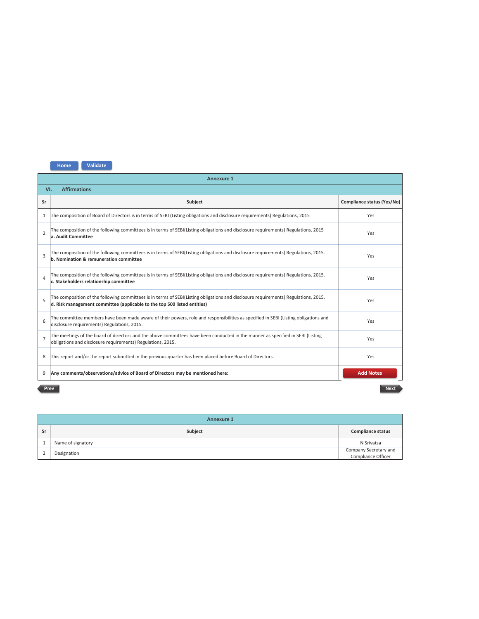|                | <b>Annexure 1</b>                                                                                                                                                                                               |                            |  |  |  |  |
|----------------|-----------------------------------------------------------------------------------------------------------------------------------------------------------------------------------------------------------------|----------------------------|--|--|--|--|
|                | <b>Affirmations</b><br>VI.                                                                                                                                                                                      |                            |  |  |  |  |
| Sr             | Subject                                                                                                                                                                                                         | Compliance status (Yes/No) |  |  |  |  |
| $\mathbf{1}$   | The composition of Board of Directors is in terms of SEBI (Listing obligations and disclosure requirements) Regulations, 2015                                                                                   | Yes                        |  |  |  |  |
| $\overline{2}$ | The composition of the following committees is in terms of SEBI(Listing obligations and disclosure requirements) Regulations, 2015<br>a. Audit Committee                                                        | Yes                        |  |  |  |  |
| $\overline{3}$ | The composition of the following committees is in terms of SEBI(Listing obligations and disclosure requirements) Regulations, 2015.<br>b. Nomination & remuneration committee                                   | Yes                        |  |  |  |  |
| $\Delta$       | The composition of the following committees is in terms of SEBI(Listing obligations and disclosure requirements) Regulations, 2015.<br>c. Stakeholders relationship committee                                   | Yes                        |  |  |  |  |
| 5              | The composition of the following committees is in terms of SEBI(Listing obligations and disclosure requirements) Regulations, 2015.<br>d. Risk management committee (applicable to the top 500 listed entities) | Yes                        |  |  |  |  |
| 6              | The committee members have been made aware of their powers, role and responsibilities as specified in SEBI (Listing obligations and<br>disclosure requirements) Regulations, 2015.                              | Yes                        |  |  |  |  |
| $\overline{7}$ | The meetings of the board of directors and the above committees have been conducted in the manner as specified in SEBI (Listing<br>obligations and disclosure requirements) Regulations, 2015.                  | Yes                        |  |  |  |  |
| 8              | This report and/or the report submitted in the previous quarter has been placed before Board of Directors.                                                                                                      | Yes                        |  |  |  |  |
| 9              | Any comments/observations/advice of Board of Directors may be mentioned here:                                                                                                                                   | <b>Add Notes</b>           |  |  |  |  |

## Prev

Next

|    | <b>Annexure 1</b> |                                             |  |  |  |
|----|-------------------|---------------------------------------------|--|--|--|
| Sr | Subject           | <b>Compliance status</b>                    |  |  |  |
|    | Name of signatory | N Srivatsa                                  |  |  |  |
|    | Designation       | Company Secretary and<br>Compliance Officer |  |  |  |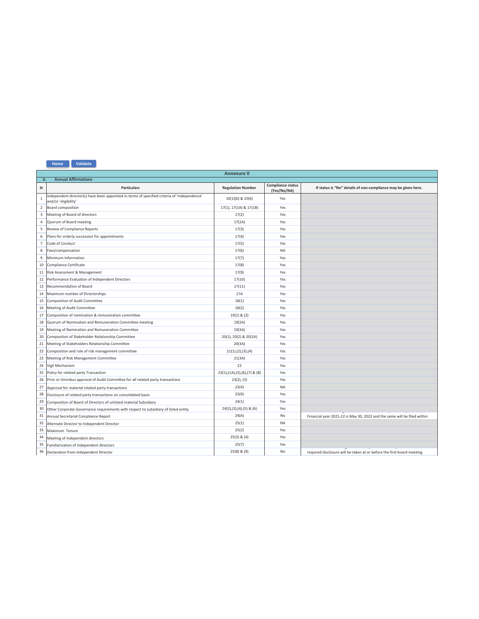

|                | <b>Annexure II</b>                                                                                                   |                                    |                                  |                                                                          |  |  |  |  |  |
|----------------|----------------------------------------------------------------------------------------------------------------------|------------------------------------|----------------------------------|--------------------------------------------------------------------------|--|--|--|--|--|
|                | <b>Annual Affirmations</b><br>H.                                                                                     |                                    |                                  |                                                                          |  |  |  |  |  |
| Sr             | <b>Particulars</b>                                                                                                   | <b>Regulation Number</b>           | Compliance status<br>(Yes/No/NA) | If status is "No" details of non-compliance may be given here.           |  |  |  |  |  |
| $\mathbf{1}$   | Independent director(s) have been appointed in terms of specified criteria of 'independence'<br>and/or 'eligibility' | 16(1)(b) & 25(6)                   | Yes                              |                                                                          |  |  |  |  |  |
| $\overline{2}$ | Board composition                                                                                                    | 17(1), 17(1A) & 17(1B)             | Yes                              |                                                                          |  |  |  |  |  |
| 3              | Meeting of Board of directors                                                                                        | 17(2)                              | Yes                              |                                                                          |  |  |  |  |  |
| 4              | Quorum of Board meeting                                                                                              | 17(2A)                             | Yes                              |                                                                          |  |  |  |  |  |
| 5              | Review of Compliance Reports                                                                                         | 17(3)                              | Yes                              |                                                                          |  |  |  |  |  |
| 6              | Plans for orderly succession for appointments                                                                        | 17(4)                              | Yes                              |                                                                          |  |  |  |  |  |
| $\overline{7}$ | Code of Conduct                                                                                                      | 17(5)                              | Yes                              |                                                                          |  |  |  |  |  |
| 8              | Fees/compensation                                                                                                    | 17(6)                              | <b>NA</b>                        |                                                                          |  |  |  |  |  |
| 9              | Minimum Information                                                                                                  | 17(7)                              | Yes                              |                                                                          |  |  |  |  |  |
| 10             | Compliance Certificate                                                                                               | 17(8)                              | Yes                              |                                                                          |  |  |  |  |  |
| 11             | Risk Assessment & Management                                                                                         | 17(9)                              | Yes                              |                                                                          |  |  |  |  |  |
| 12             | Performance Evaluation of Independent Directors                                                                      | 17(10)                             | Yes                              |                                                                          |  |  |  |  |  |
| 13             | Recommendation of Board                                                                                              | 17(11)                             | Yes                              |                                                                          |  |  |  |  |  |
| 14             | Maximum number of Directorships                                                                                      | 17A                                | Yes                              |                                                                          |  |  |  |  |  |
| 15             | Composition of Audit Committee                                                                                       | 18(1)                              | Yes                              |                                                                          |  |  |  |  |  |
| 16             | Meeting of Audit Committee                                                                                           | 18(2)                              | Yes                              |                                                                          |  |  |  |  |  |
| 17             | Composition of nomination & remuneration committee                                                                   | $19(1)$ & $(2)$                    | Yes                              |                                                                          |  |  |  |  |  |
| 18             | Quorum of Nomination and Remuneration Committee meeting                                                              | 19(2A)                             | Yes                              |                                                                          |  |  |  |  |  |
| 19             | Meeting of Nomination and Remuneration Committee                                                                     | 19(3A)                             | Yes                              |                                                                          |  |  |  |  |  |
| 20             | Composition of Stakeholder Relationship Committee                                                                    | 20(1), 20(2) & 20(2A)              | Yes                              |                                                                          |  |  |  |  |  |
| 21             | Meeting of Stakeholders Relationship Committee                                                                       | 20(3A)                             | Yes                              |                                                                          |  |  |  |  |  |
| 22             | Composition and role of risk management committee                                                                    | 21(1), (2), (3), (4)               | Yes                              |                                                                          |  |  |  |  |  |
| 23             | Meeting of Risk Management Committee                                                                                 | 21(3A)                             | Yes                              |                                                                          |  |  |  |  |  |
| 24             | Vigil Mechanism                                                                                                      | 22                                 | Yes                              |                                                                          |  |  |  |  |  |
| 25             | Policy for related party Transaction                                                                                 | $23(1), (1A), (5), (6), (7)$ & (8) | Yes                              |                                                                          |  |  |  |  |  |
| 26             | Prior or Omnibus approval of Audit Committee for all related party transactions                                      | 23(2), (3)                         | Yes                              |                                                                          |  |  |  |  |  |
| 27             | Approval for material related party transactions                                                                     | 23(4)                              | <b>NA</b>                        |                                                                          |  |  |  |  |  |
| 28             | Disclosure of related party transactions on consolidated basis                                                       | 23(9)                              | Yes                              |                                                                          |  |  |  |  |  |
| 29             | Composition of Board of Directors of unlisted material Subsidiary                                                    | 24(1)                              | Yes                              |                                                                          |  |  |  |  |  |
| 30             | Other Corporate Governance requirements with respect to subsidiary of listed entity                                  | $24(2), (3), (4), (5)$ & (6)       | Yes                              |                                                                          |  |  |  |  |  |
| 31             | Annual Secretarial Compliance Report                                                                                 | 24(A)                              | No                               | Financial year 2021-22 is May 30, 2022 and the same will be filed within |  |  |  |  |  |
| 32             | Alternate Director to Independent Director                                                                           | 25(1)                              | <b>NA</b>                        |                                                                          |  |  |  |  |  |
| 33             | Maximum Tenure                                                                                                       | 25(2)                              | Yes                              |                                                                          |  |  |  |  |  |
| 34             | Meeting of independent directors                                                                                     | $25(3)$ & $(4)$                    | Yes                              |                                                                          |  |  |  |  |  |
| 35             | Familiarization of independent directors                                                                             | 25(7)                              | Yes                              |                                                                          |  |  |  |  |  |
|                | 36 Declaration from Independent Director                                                                             | $25(8)$ & $(9)$                    | No                               | required disclosure will be taken at or before the first board meeting.  |  |  |  |  |  |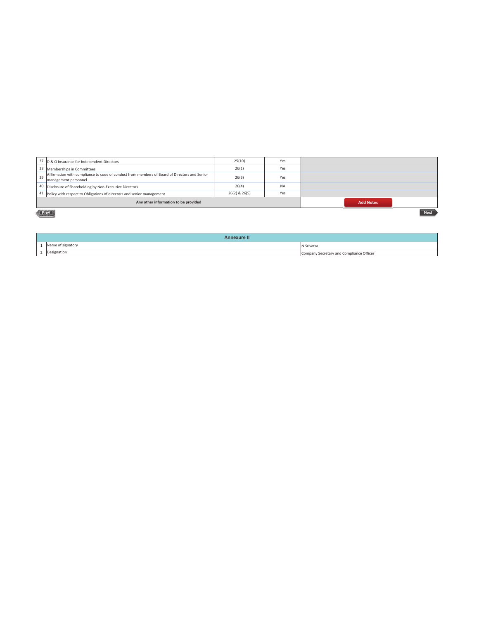|                                                          | 37 D & O Insurance for Independent Directors                                                                         | 25(10)        | Yes       |  |  |
|----------------------------------------------------------|----------------------------------------------------------------------------------------------------------------------|---------------|-----------|--|--|
|                                                          | 38 Memberships in Committees                                                                                         | 26(1)         | Yes       |  |  |
| 39                                                       | Affirmation with compliance to code of conduct from members of Board of Directors and Senior<br>management personnel | 26(3)         | Yes       |  |  |
|                                                          | 40 Disclosure of Shareholding by Non-Executive Directors                                                             | 26(4)         | <b>NA</b> |  |  |
|                                                          | 41 Policy with respect to Obligations of directors and senior management                                             | 26(2) & 26(5) | Yes       |  |  |
| Any other information to be provided<br><b>Add Notes</b> |                                                                                                                      |               |           |  |  |
|                                                          | <b>Next</b><br><b>Prev</b>                                                                                           |               |           |  |  |

|  | <b>Annexure II</b> |                                          |  |  |
|--|--------------------|------------------------------------------|--|--|
|  | Name of signatory  | N Srivatsa                               |  |  |
|  | Designation        | Company Secretary and Compliance Officer |  |  |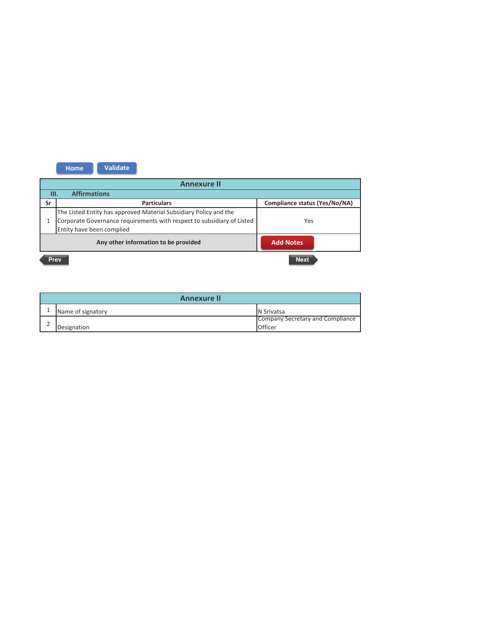

| <b>Annexure II</b> |                   |                                  |  |  |
|--------------------|-------------------|----------------------------------|--|--|
|                    | Name of signatory | <b>N</b> Srivatsa                |  |  |
|                    |                   | Company Secretary and Compliance |  |  |
|                    | Designation       | Officer                          |  |  |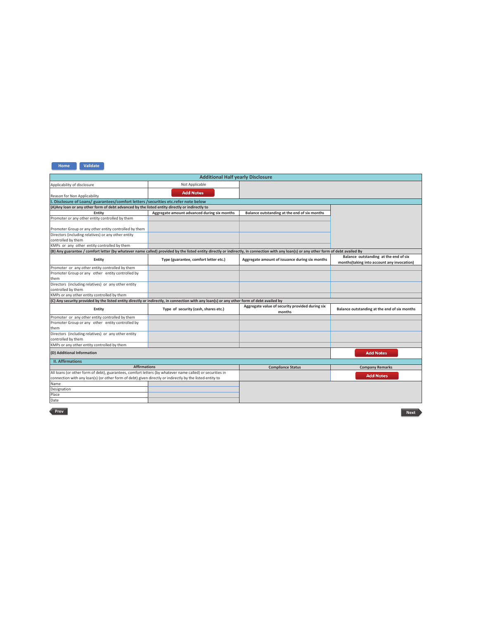| <b>Additional Half yearly Disclosure</b>                                                                                                                                               |                                             |                                                           |                                                                                     |  |  |  |
|----------------------------------------------------------------------------------------------------------------------------------------------------------------------------------------|---------------------------------------------|-----------------------------------------------------------|-------------------------------------------------------------------------------------|--|--|--|
| Applicability of disclosure                                                                                                                                                            | Not Applicable                              |                                                           |                                                                                     |  |  |  |
|                                                                                                                                                                                        | <b>Add Notes</b>                            |                                                           |                                                                                     |  |  |  |
| Reason for Non Applicability                                                                                                                                                           |                                             |                                                           |                                                                                     |  |  |  |
| I. Disclosure of Loans/ guarantees/comfort letters / securities etc.refer note below                                                                                                   |                                             |                                                           |                                                                                     |  |  |  |
| (A) Any loan or any other form of debt advanced by the listed entity directly or indirectly to                                                                                         |                                             |                                                           |                                                                                     |  |  |  |
| Entity                                                                                                                                                                                 | Aggregate amount advanced during six months | Balance outstanding at the end of six months              |                                                                                     |  |  |  |
| Promoter or any other entity controlled by them                                                                                                                                        |                                             |                                                           |                                                                                     |  |  |  |
|                                                                                                                                                                                        |                                             |                                                           |                                                                                     |  |  |  |
| Promoter Group or any other entity controlled by them                                                                                                                                  |                                             |                                                           |                                                                                     |  |  |  |
| Directors (including relatives) or any other entity                                                                                                                                    |                                             |                                                           |                                                                                     |  |  |  |
| controlled by them                                                                                                                                                                     |                                             |                                                           |                                                                                     |  |  |  |
| KMPs or any other entity controlled by them                                                                                                                                            |                                             |                                                           |                                                                                     |  |  |  |
| (B) Any guarantee / comfort letter (by whatever name called) provided by the listed entity directly or indirectly, in connection with any loan(s) or any other form of debt availed By |                                             |                                                           |                                                                                     |  |  |  |
| Entity                                                                                                                                                                                 | Type (guarantee, comfort letter etc.)       | Aggregate amount of issuance during six months            | Balance outstanding at the end of six<br>months(taking into account any invocation) |  |  |  |
| Promoter or any other entity controlled by them                                                                                                                                        |                                             |                                                           |                                                                                     |  |  |  |
| Promoter Group or any other entity controlled by                                                                                                                                       |                                             |                                                           |                                                                                     |  |  |  |
| them                                                                                                                                                                                   |                                             |                                                           |                                                                                     |  |  |  |
| Directors (including relatives) or any other entity                                                                                                                                    |                                             |                                                           |                                                                                     |  |  |  |
| controlled by them                                                                                                                                                                     |                                             |                                                           |                                                                                     |  |  |  |
| KMPs or any other entity controlled by them                                                                                                                                            |                                             |                                                           |                                                                                     |  |  |  |
| (C) Any security provided by the listed entity directly or indirectly, in connection with any loan(s) or any other form of debt availed by                                             |                                             |                                                           |                                                                                     |  |  |  |
| Entity                                                                                                                                                                                 | Type of security (cash, shares etc.)        | Aggregate value of security provided during six<br>months | Balance outstanding at the end of six months                                        |  |  |  |
| Promoter or any other entity controlled by them                                                                                                                                        |                                             |                                                           |                                                                                     |  |  |  |
| Promoter Group or any other entity controlled by                                                                                                                                       |                                             |                                                           |                                                                                     |  |  |  |
| them                                                                                                                                                                                   |                                             |                                                           |                                                                                     |  |  |  |
| Directors (including relatives) or any other entity                                                                                                                                    |                                             |                                                           |                                                                                     |  |  |  |
| controlled by them                                                                                                                                                                     |                                             |                                                           |                                                                                     |  |  |  |
| KMPs or any other entity controlled by them                                                                                                                                            |                                             |                                                           |                                                                                     |  |  |  |
| (D) Additional Information                                                                                                                                                             |                                             |                                                           | <b>Add Notes</b>                                                                    |  |  |  |
| <b>II. Affirmations</b>                                                                                                                                                                |                                             |                                                           |                                                                                     |  |  |  |
| <b>Affirmations</b>                                                                                                                                                                    |                                             | <b>Compliance Status</b>                                  | <b>Company Remarks</b>                                                              |  |  |  |
| All loans (or other form of debt), guarantees, comfort letters (by whatever name called) or securities in                                                                              |                                             |                                                           |                                                                                     |  |  |  |
| <b>Add Notes</b><br>connection with any loan(s) (or other form of debt) given directly or indirectly by the listed entity to                                                           |                                             |                                                           |                                                                                     |  |  |  |
| Name                                                                                                                                                                                   |                                             |                                                           |                                                                                     |  |  |  |
| Designation                                                                                                                                                                            |                                             |                                                           |                                                                                     |  |  |  |
| Place                                                                                                                                                                                  |                                             |                                                           |                                                                                     |  |  |  |
| Date                                                                                                                                                                                   |                                             |                                                           |                                                                                     |  |  |  |

Prev

Next